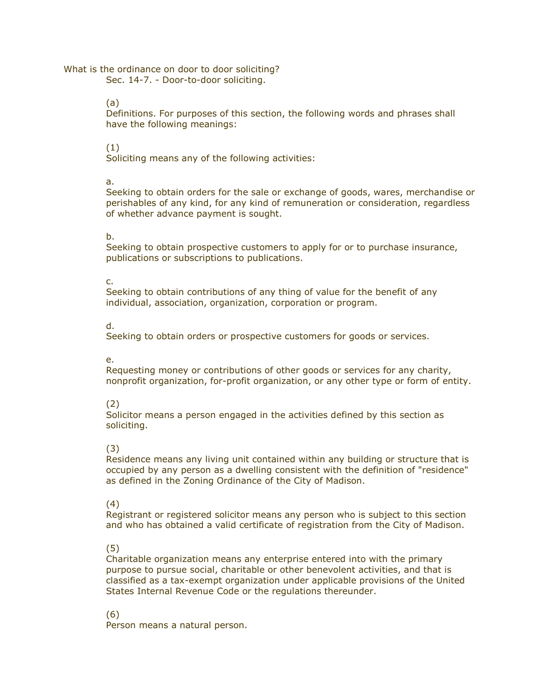What is the ordinance on door to door soliciting? Sec. 14-7. - Door-to-door soliciting.

(a)

Definitions. For purposes of this section, the following words and phrases shall have the following meanings:

(1)

Soliciting means any of the following activities:

a.

Seeking to obtain orders for the sale or exchange of goods, wares, merchandise or perishables of any kind, for any kind of remuneration or consideration, regardless of whether advance payment is sought.

b.

Seeking to obtain prospective customers to apply for or to purchase insurance, publications or subscriptions to publications.

c.

Seeking to obtain contributions of any thing of value for the benefit of any individual, association, organization, corporation or program.

d.

Seeking to obtain orders or prospective customers for goods or services.

## e.

Requesting money or contributions of other goods or services for any charity, nonprofit organization, for-profit organization, or any other type or form of entity.

## (2)

Solicitor means a person engaged in the activities defined by this section as soliciting.

## (3)

Residence means any living unit contained within any building or structure that is occupied by any person as a dwelling consistent with the definition of "residence" as defined in the Zoning Ordinance of the City of Madison.

## (4)

Registrant or registered solicitor means any person who is subject to this section and who has obtained a valid certificate of registration from the City of Madison.

## (5)

Charitable organization means any enterprise entered into with the primary purpose to pursue social, charitable or other benevolent activities, and that is classified as a tax-exempt organization under applicable provisions of the United States Internal Revenue Code or the regulations thereunder.

(6)

Person means a natural person.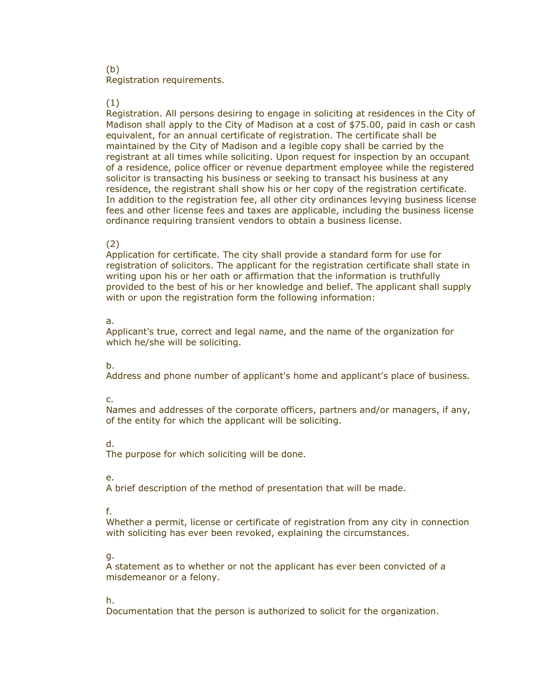#### (b) Registration requirements.

#### (1)

Registration. All persons desiring to engage in soliciting at residences in the City of Madison shall apply to the City of Madison at a cost of \$75.00, paid in cash or cash equivalent, for an annual certificate of registration. The certificate shall be maintained by the City of Madison and a legible copy shall be carried by the registrant at all times while soliciting. Upon request for inspection by an occupant of a residence, police officer or revenue department employee while the registered solicitor is transacting his business or seeking to transact his business at any residence, the registrant shall show his or her copy of the registration certificate. In addition to the registration fee, all other city ordinances levying business license fees and other license fees and taxes are applicable, including the business license ordinance requiring transient vendors to obtain a business license.

#### (2)

Application for certificate. The city shall provide a standard form for use for registration of solicitors. The applicant for the registration certificate shall state in writing upon his or her oath or affirmation that the information is truthfully provided to the best of his or her knowledge and belief. The applicant shall supply with or upon the registration form the following information:

#### a.

Applicant's true, correct and legal name, and the name of the organization for which he/she will be soliciting.

## b.

Address and phone number of applicant's home and applicant's place of business.

#### c.

Names and addresses of the corporate officers, partners and/or managers, if any, of the entity for which the applicant will be soliciting.

## d.

The purpose for which soliciting will be done.

#### e.

A brief description of the method of presentation that will be made.

## f.

Whether a permit, license or certificate of registration from any city in connection with soliciting has ever been revoked, explaining the circumstances.

#### g.

A statement as to whether or not the applicant has ever been convicted of a misdemeanor or a felony.

## h.

Documentation that the person is authorized to solicit for the organization.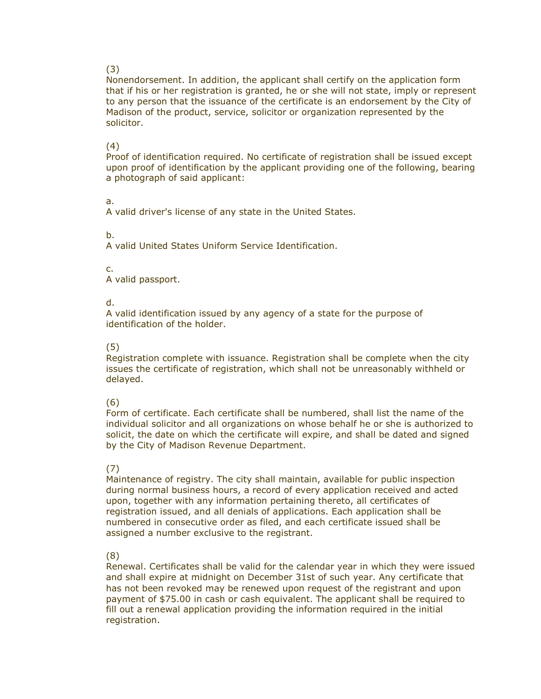### (3)

Nonendorsement. In addition, the applicant shall certify on the application form that if his or her registration is granted, he or she will not state, imply or represent to any person that the issuance of the certificate is an endorsement by the City of Madison of the product, service, solicitor or organization represented by the solicitor.

## (4)

Proof of identification required. No certificate of registration shall be issued except upon proof of identification by the applicant providing one of the following, bearing a photograph of said applicant:

## a.

A valid driver's license of any state in the United States.

## b.

A valid United States Uniform Service Identification.

## c.

A valid passport.

## d.

A valid identification issued by any agency of a state for the purpose of identification of the holder.

## (5)

Registration complete with issuance. Registration shall be complete when the city issues the certificate of registration, which shall not be unreasonably withheld or delayed.

## (6)

Form of certificate. Each certificate shall be numbered, shall list the name of the individual solicitor and all organizations on whose behalf he or she is authorized to solicit, the date on which the certificate will expire, and shall be dated and signed by the City of Madison Revenue Department.

## (7)

Maintenance of registry. The city shall maintain, available for public inspection during normal business hours, a record of every application received and acted upon, together with any information pertaining thereto, all certificates of registration issued, and all denials of applications. Each application shall be numbered in consecutive order as filed, and each certificate issued shall be assigned a number exclusive to the registrant.

## (8)

Renewal. Certificates shall be valid for the calendar year in which they were issued and shall expire at midnight on December 31st of such year. Any certificate that has not been revoked may be renewed upon request of the registrant and upon payment of \$75.00 in cash or cash equivalent. The applicant shall be required to fill out a renewal application providing the information required in the initial registration.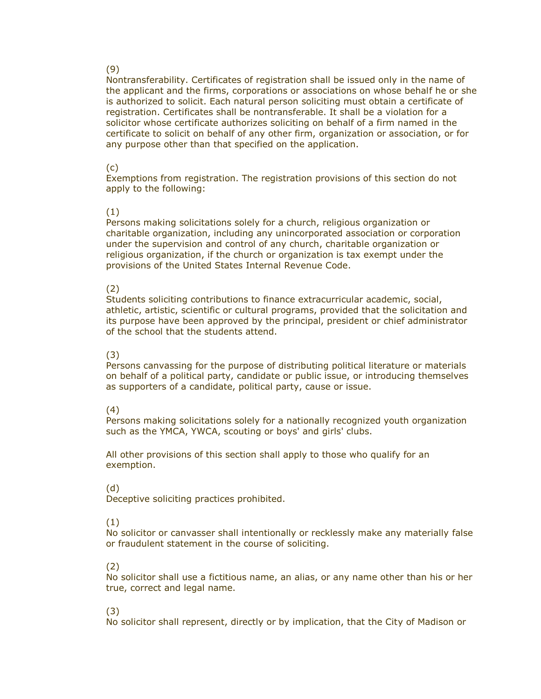### (9)

Nontransferability. Certificates of registration shall be issued only in the name of the applicant and the firms, corporations or associations on whose behalf he or she is authorized to solicit. Each natural person soliciting must obtain a certificate of registration. Certificates shall be nontransferable. It shall be a violation for a solicitor whose certificate authorizes soliciting on behalf of a firm named in the certificate to solicit on behalf of any other firm, organization or association, or for any purpose other than that specified on the application.

#### (c)

Exemptions from registration. The registration provisions of this section do not apply to the following:

#### (1)

Persons making solicitations solely for a church, religious organization or charitable organization, including any unincorporated association or corporation under the supervision and control of any church, charitable organization or religious organization, if the church or organization is tax exempt under the provisions of the United States Internal Revenue Code.

## (2)

Students soliciting contributions to finance extracurricular academic, social, athletic, artistic, scientific or cultural programs, provided that the solicitation and its purpose have been approved by the principal, president or chief administrator of the school that the students attend.

## (3)

Persons canvassing for the purpose of distributing political literature or materials on behalf of a political party, candidate or public issue, or introducing themselves as supporters of a candidate, political party, cause or issue.

## (4)

Persons making solicitations solely for a nationally recognized youth organization such as the YMCA, YWCA, scouting or boys' and girls' clubs.

All other provisions of this section shall apply to those who qualify for an exemption.

#### (d)

Deceptive soliciting practices prohibited.

## (1)

No solicitor or canvasser shall intentionally or recklessly make any materially false or fraudulent statement in the course of soliciting.

#### (2)

No solicitor shall use a fictitious name, an alias, or any name other than his or her true, correct and legal name.

## (3)

No solicitor shall represent, directly or by implication, that the City of Madison or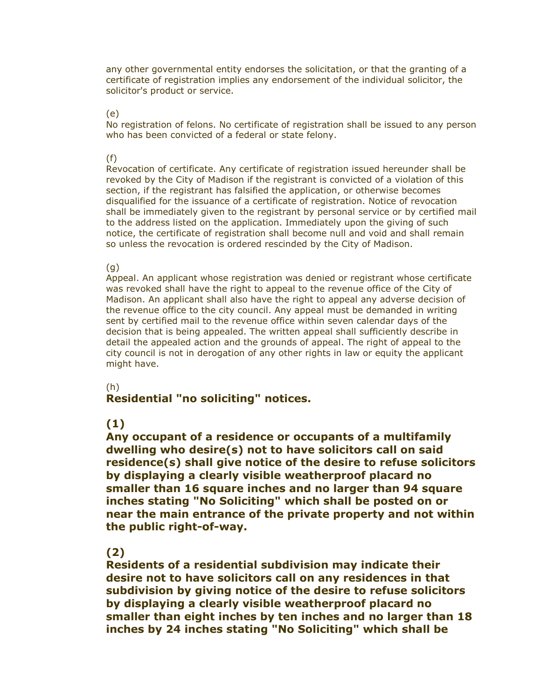any other governmental entity endorses the solicitation, or that the granting of a certificate of registration implies any endorsement of the individual solicitor, the solicitor's product or service.

(e)

No registration of felons. No certificate of registration shall be issued to any person who has been convicted of a federal or state felony.

(f)

Revocation of certificate. Any certificate of registration issued hereunder shall be revoked by the City of Madison if the registrant is convicted of a violation of this section, if the registrant has falsified the application, or otherwise becomes disqualified for the issuance of a certificate of registration. Notice of revocation shall be immediately given to the registrant by personal service or by certified mail to the address listed on the application. Immediately upon the giving of such notice, the certificate of registration shall become null and void and shall remain so unless the revocation is ordered rescinded by the City of Madison.

(g)

Appeal. An applicant whose registration was denied or registrant whose certificate was revoked shall have the right to appeal to the revenue office of the City of Madison. An applicant shall also have the right to appeal any adverse decision of the revenue office to the city council. Any appeal must be demanded in writing sent by certified mail to the revenue office within seven calendar days of the decision that is being appealed. The written appeal shall sufficiently describe in detail the appealed action and the grounds of appeal. The right of appeal to the city council is not in derogation of any other rights in law or equity the applicant might have.

## (h)

# **Residential "no soliciting" notices.**

# **(1)**

**Any occupant of a residence or occupants of a multifamily dwelling who desire(s) not to have solicitors call on said residence(s) shall give notice of the desire to refuse solicitors by displaying a clearly visible weatherproof placard no smaller than 16 square inches and no larger than 94 square inches stating "No Soliciting" which shall be posted on or near the main entrance of the private property and not within the public right-of-way.** 

# **(2)**

**Residents of a residential subdivision may indicate their desire not to have solicitors call on any residences in that subdivision by giving notice of the desire to refuse solicitors by displaying a clearly visible weatherproof placard no smaller than eight inches by ten inches and no larger than 18 inches by 24 inches stating "No Soliciting" which shall be**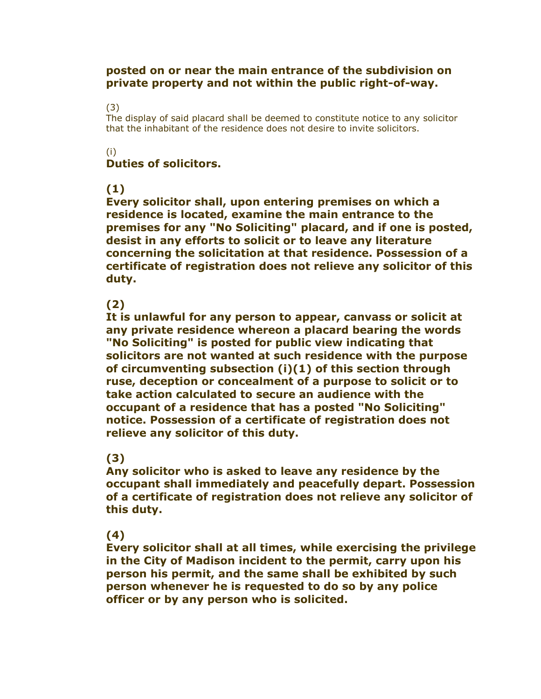## **posted on or near the main entrance of the subdivision on private property and not within the public right-of-way.**

## (3)

The display of said placard shall be deemed to constitute notice to any solicitor that the inhabitant of the residence does not desire to invite solicitors.

## (i)

# **Duties of solicitors.**

# **(1)**

**Every solicitor shall, upon entering premises on which a residence is located, examine the main entrance to the premises for any "No Soliciting" placard, and if one is posted, desist in any efforts to solicit or to leave any literature concerning the solicitation at that residence. Possession of a certificate of registration does not relieve any solicitor of this duty.** 

# **(2)**

**It is unlawful for any person to appear, canvass or solicit at any private residence whereon a placard bearing the words "No Soliciting" is posted for public view indicating that solicitors are not wanted at such residence with the purpose of circumventing subsection (i)(1) of this section through ruse, deception or concealment of a purpose to solicit or to take action calculated to secure an audience with the occupant of a residence that has a posted "No Soliciting" notice. Possession of a certificate of registration does not relieve any solicitor of this duty.** 

# **(3)**

**Any solicitor who is asked to leave any residence by the occupant shall immediately and peacefully depart. Possession of a certificate of registration does not relieve any solicitor of this duty.** 

# **(4)**

**Every solicitor shall at all times, while exercising the privilege in the City of Madison incident to the permit, carry upon his person his permit, and the same shall be exhibited by such person whenever he is requested to do so by any police officer or by any person who is solicited.**